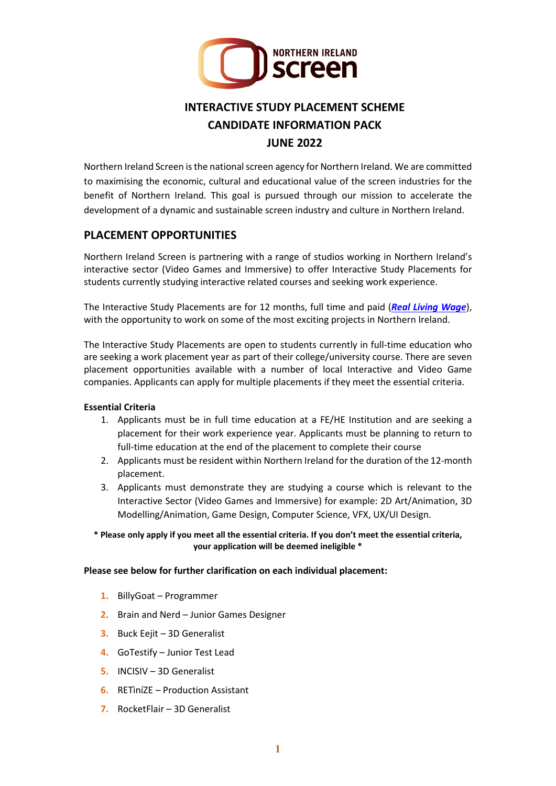

# **INTERACTIVE STUDY PLACEMENT SCHEME CANDIDATE INFORMATION PACK JUNE 2022**

Northern Ireland Screen is the national screen agency for Northern Ireland. We are committed to maximising the economic, cultural and educational value of the screen industries for the benefit of Northern Ireland. This goal is pursued through our mission to accelerate the development of a dynamic and sustainable screen industry and culture in Northern Ireland.

#### **PLACEMENT OPPORTUNITIES**

Northern Ireland Screen is partnering with a range of studios working in Northern Ireland's interactive sector (Video Games and Immersive) to offer Interactive Study Placements for students currently studying interactive related courses and seeking work experience.

The Interactive Study Placements are for 12 months, full time and paid (*[Real Living Wage](https://www.livingwage.org.uk/what-real-living-wage)*), with the opportunity to work on some of the most exciting projects in Northern Ireland.

The Interactive Study Placements are open to students currently in full-time education who are seeking a work placement year as part of their college/university course. There are seven placement opportunities available with a number of local Interactive and Video Game companies. Applicants can apply for multiple placements if they meet the essential criteria.

#### **Essential Criteria**

- 1. Applicants must be in full time education at a FE/HE Institution and are seeking a placement for their work experience year. Applicants must be planning to return to full-time education at the end of the placement to complete their course
- 2. Applicants must be resident within Northern Ireland for the duration of the 12-month placement.
- 3. Applicants must demonstrate they are studying a course which is relevant to the Interactive Sector (Video Games and Immersive) for example: 2D Art/Animation, 3D Modelling/Animation, Game Design, Computer Science, VFX, UX/UI Design.

#### **\* Please only apply if you meet all the essential criteria. If you don't meet the essential criteria, your application will be deemed ineligible \***

#### **Please see below for further clarification on each individual placement:**

- **1.** BillyGoat Programmer
- **2.** Brain and Nerd Junior Games Designer
- **3.** Buck Eejit 3D Generalist
- **4.** GoTestify Junior Test Lead
- **5.** INCISIV 3D Generalist
- **6.** RETìníZE Production Assistant
- **7.** RocketFlair 3D Generalist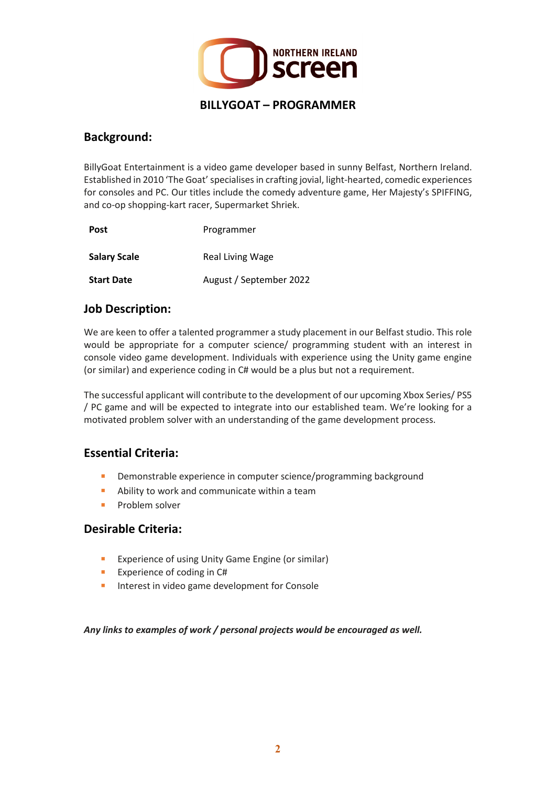

#### **Background:**

BillyGoat Entertainment is a video game developer based in sunny Belfast, Northern Ireland. Established in 2010 'The Goat' specialises in crafting jovial, light-hearted, comedic experiences for consoles and PC. Our titles include the comedy adventure game, Her Majesty's SPIFFING, and co-op shopping-kart racer, Supermarket Shriek.

| <b>Post</b>         | Programmer              |
|---------------------|-------------------------|
| <b>Salary Scale</b> | Real Living Wage        |
| <b>Start Date</b>   | August / September 2022 |

#### **Job Description:**

We are keen to offer a talented programmer a study placement in our Belfast studio. This role would be appropriate for a computer science/ programming student with an interest in console video game development. Individuals with experience using the Unity game engine (or similar) and experience coding in C# would be a plus but not a requirement.

The successful applicant will contribute to the development of our upcoming Xbox Series/ PS5 / PC game and will be expected to integrate into our established team. We're looking for a motivated problem solver with an understanding of the game development process.

### **Essential Criteria:**

- Demonstrable experience in computer science/programming background
- Ability to work and communicate within a team
- **Problem solver**

#### **Desirable Criteria:**

- **Experience of using Unity Game Engine (or similar)**
- **Experience of coding in C#**
- **Interest in video game development for Console**

*Any links to examples of work / personal projects would be encouraged as well.*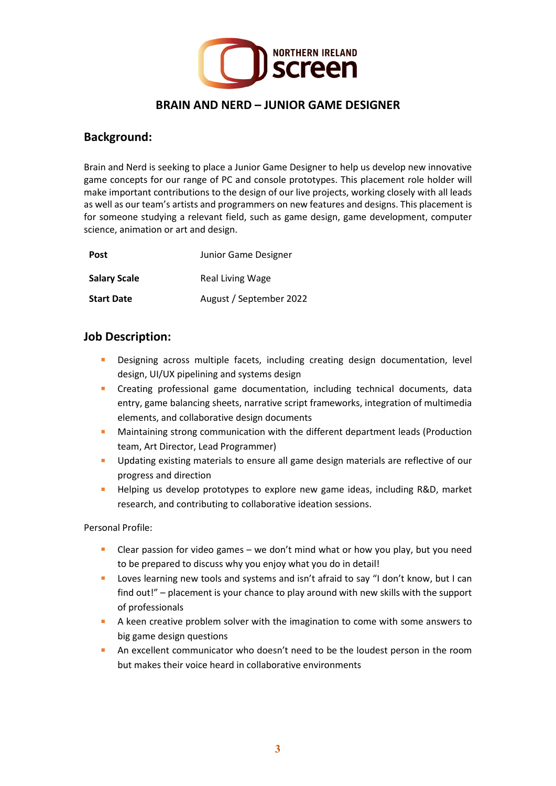

### **BRAIN AND NERD – JUNIOR GAME DESIGNER**

#### **Background:**

Brain and Nerd is seeking to place a Junior Game Designer to help us develop new innovative game concepts for our range of PC and console prototypes. This placement role holder will make important contributions to the design of our live projects, working closely with all leads as well as our team's artists and programmers on new features and designs. This placement is for someone studying a relevant field, such as game design, game development, computer science, animation or art and design.

| <b>Post</b>         | Junior Game Designer    |
|---------------------|-------------------------|
| <b>Salary Scale</b> | Real Living Wage        |
| <b>Start Date</b>   | August / September 2022 |

#### **Job Description:**

- Designing across multiple facets, including creating design documentation, level design, UI/UX pipelining and systems design
- **EXP** Creating professional game documentation, including technical documents, data entry, game balancing sheets, narrative script frameworks, integration of multimedia elements, and collaborative design documents
- **Maintaining strong communication with the different department leads (Production** team, Art Director, Lead Programmer)
- Updating existing materials to ensure all game design materials are reflective of our progress and direction
- **Helping us develop prototypes to explore new game ideas, including R&D, market** research, and contributing to collaborative ideation sessions.

Personal Profile:

- **Clear passion for video games we don't mind what or how you play, but you need** to be prepared to discuss why you enjoy what you do in detail!
- **Loves learning new tools and systems and isn't afraid to say "I don't know, but I can** find out!" – placement is your chance to play around with new skills with the support of professionals
- A keen creative problem solver with the imagination to come with some answers to big game design questions
- An excellent communicator who doesn't need to be the loudest person in the room but makes their voice heard in collaborative environments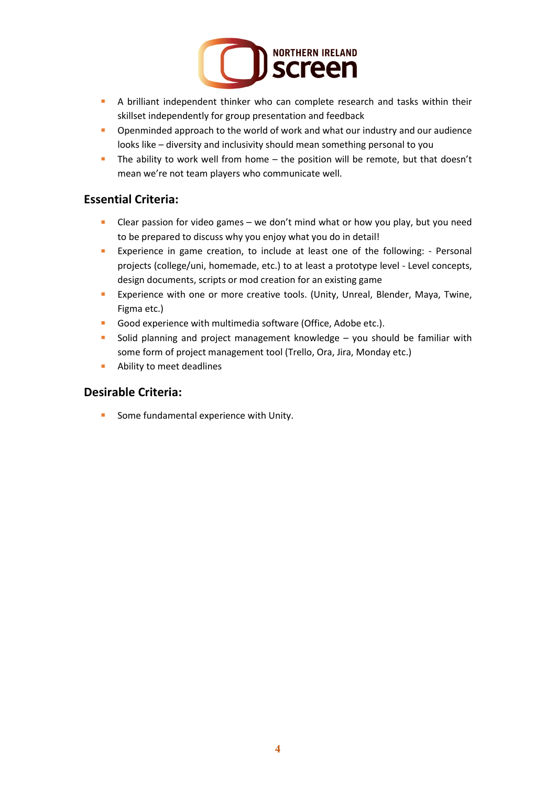

- **A** brilliant independent thinker who can complete research and tasks within their skillset independently for group presentation and feedback
- **•** Openminded approach to the world of work and what our industry and our audience looks like – diversity and inclusivity should mean something personal to you
- The ability to work well from home the position will be remote, but that doesn't mean we're not team players who communicate well.

#### **Essential Criteria:**

- **Clear passion for video games we don't mind what or how you play, but you need** to be prepared to discuss why you enjoy what you do in detail!
- **EXPERIENCE IN GRAME CREATION, to include at least one of the following: Personal** projects (college/uni, homemade, etc.) to at least a prototype level - Level concepts, design documents, scripts or mod creation for an existing game
- **Experience with one or more creative tools. (Unity, Unreal, Blender, Maya, Twine,** Figma etc.)
- Good experience with multimedia software (Office, Adobe etc.).
- **Solid planning and project management knowledge you should be familiar with** some form of project management tool (Trello, Ora, Jira, Monday etc.)
- **Ability to meet deadlines**

#### **Desirable Criteria:**

Some fundamental experience with Unity.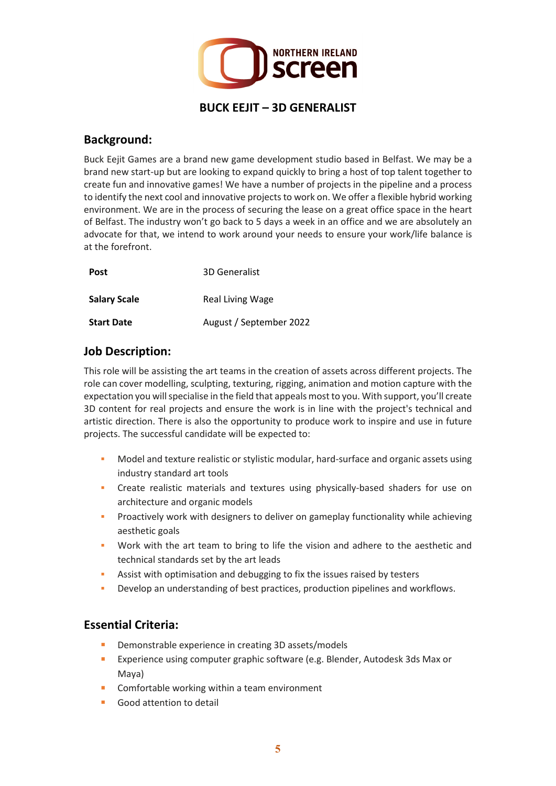

#### **Background:**

Buck Eejit Games are a brand new game development studio based in Belfast. We may be a brand new start-up but are looking to expand quickly to bring a host of top talent together to create fun and innovative games! We have a number of projects in the pipeline and a process to identify the next cool and innovative projects to work on. We offer a flexible hybrid working environment. We are in the process of securing the lease on a great office space in the heart of Belfast. The industry won't go back to 5 days a week in an office and we are absolutely an advocate for that, we intend to work around your needs to ensure your work/life balance is at the forefront.

| <b>Post</b>         | 3D Generalist           |
|---------------------|-------------------------|
| <b>Salary Scale</b> | Real Living Wage        |
| <b>Start Date</b>   | August / September 2022 |

#### **Job Description:**

This role will be assisting the art teams in the creation of assets across different projects. The role can cover modelling, sculpting, texturing, rigging, animation and motion capture with the expectation you will specialise in the field that appeals most to you. With support, you'll create 3D content for real projects and ensure the work is in line with the project's technical and artistic direction. There is also the opportunity to produce work to inspire and use in future projects. The successful candidate will be expected to:

- Model and texture realistic or stylistic modular, hard-surface and organic assets using industry standard art tools
- Create realistic materials and textures using physically-based shaders for use on architecture and organic models
- Proactively work with designers to deliver on gameplay functionality while achieving aesthetic goals
- Work with the art team to bring to life the vision and adhere to the aesthetic and technical standards set by the art leads
- Assist with optimisation and debugging to fix the issues raised by testers
- Develop an understanding of best practices, production pipelines and workflows.

### **Essential Criteria:**

- Demonstrable experience in creating 3D assets/models
- **EXPERIEG** Experience using computer graphic software (e.g. Blender, Autodesk 3ds Max or Maya)
- **Comfortable working within a team environment**
- Good attention to detail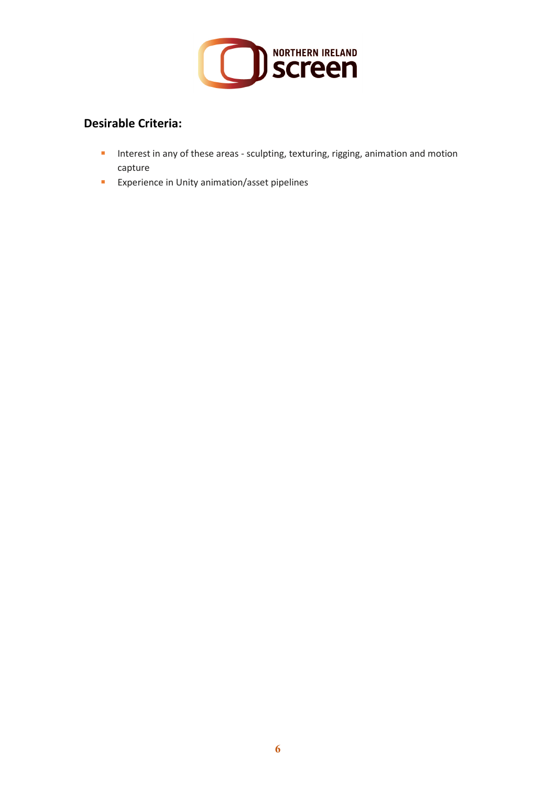

# **Desirable Criteria:**

- **I** Interest in any of these areas sculpting, texturing, rigging, animation and motion capture
- **EXPERIENCE EXPERIENCE In Unity animation/asset pipelines**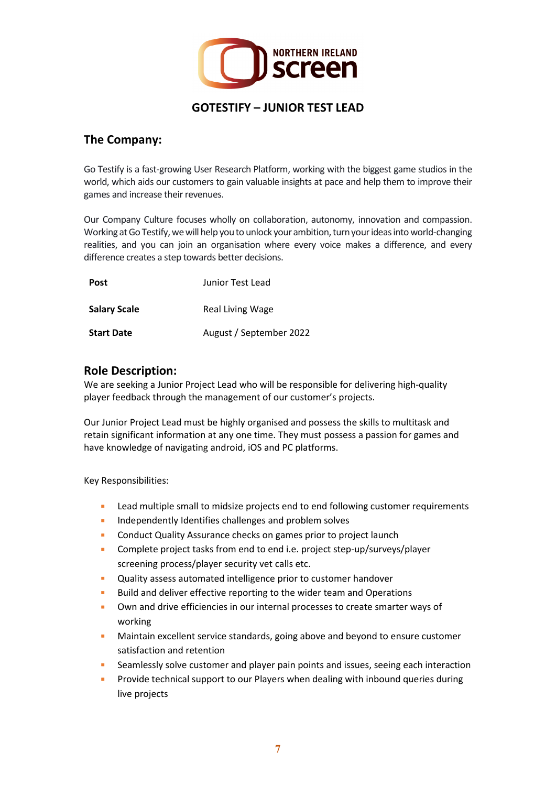

#### **The Company:**

Go Testify is a fast-growing User Research Platform, working with the biggest game studios in the world, which aids our customers to gain valuable insights at pace and help them to improve their games and increase their revenues.

Our Company Culture focuses wholly on collaboration, autonomy, innovation and compassion. Working at Go Testify, we will help you to unlock your ambition, turn your ideas into world-changing realities, and you can join an organisation where every voice makes a difference, and every difference creates a step towards better decisions.

| <b>Post</b>         | Junior Test Lead        |
|---------------------|-------------------------|
| <b>Salary Scale</b> | Real Living Wage        |
| <b>Start Date</b>   | August / September 2022 |

#### **Role Description:**

We are seeking a Junior Project Lead who will be responsible for delivering high-quality player feedback through the management of our customer's projects.

Our Junior Project Lead must be highly organised and possess the skills to multitask and retain significant information at any one time. They must possess a passion for games and have knowledge of navigating android, iOS and PC platforms.

Key Responsibilities:

- **Lead multiple small to midsize projects end to end following customer requirements**
- **Independently Identifies challenges and problem solves**
- **Conduct Quality Assurance checks on games prior to project launch**
- **EXP** Complete project tasks from end to end i.e. project step-up/surveys/player screening process/player security vet calls etc.
- **EXECUTE:** Quality assess automated intelligence prior to customer handover
- Build and deliver effective reporting to the wider team and Operations
- **Dum** and drive efficiencies in our internal processes to create smarter ways of working
- **Maintain excellent service standards, going above and beyond to ensure customer** satisfaction and retention
- **EXEDENT Seamlessly solve customer and player pain points and issues, seeing each interaction**
- Provide technical support to our Players when dealing with inbound queries during live projects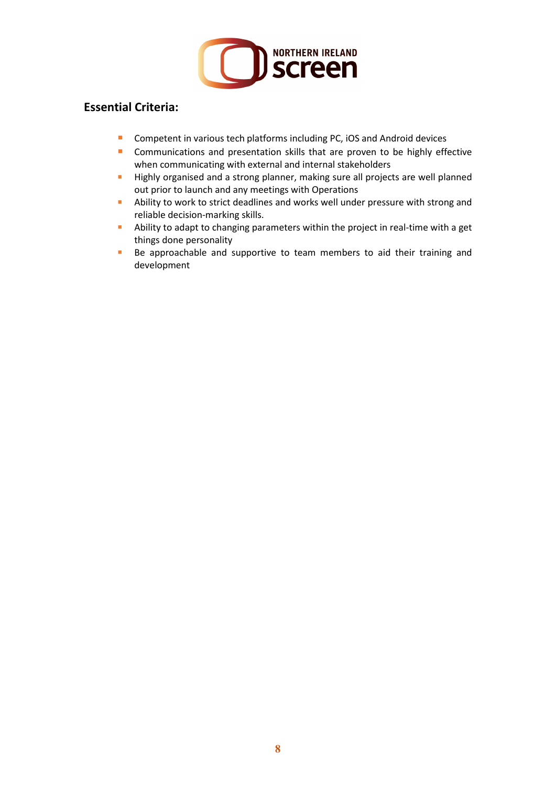

# **Essential Criteria:**

- **Competent in various tech platforms including PC, iOS and Android devices**
- **Communications and presentation skills that are proven to be highly effective** when communicating with external and internal stakeholders
- Highly organised and a strong planner, making sure all projects are well planned out prior to launch and any meetings with Operations
- Ability to work to strict deadlines and works well under pressure with strong and reliable decision-marking skills.
- **Ability to adapt to changing parameters within the project in real-time with a get** things done personality
- **Be approachable and supportive to team members to aid their training and** development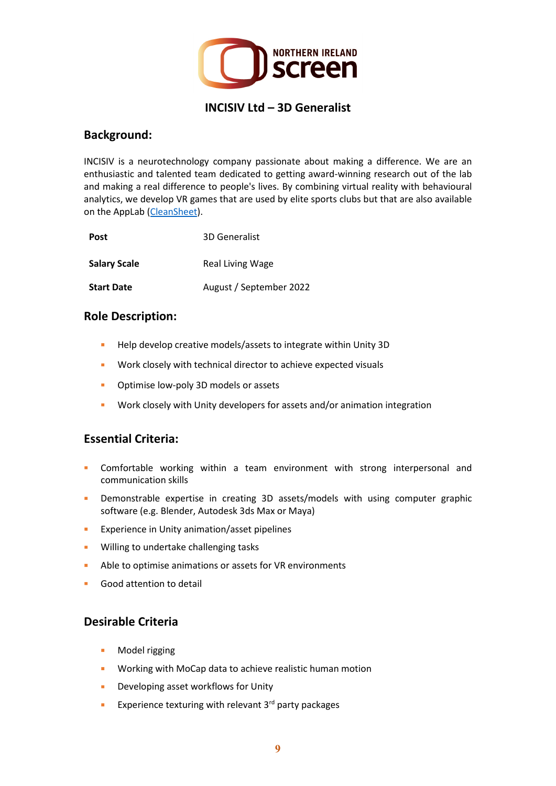

#### **INCISIV Ltd – 3D Generalist**

#### **Background:**

INCISIV is a neurotechnology company passionate about making a difference. We are an enthusiastic and talented team dedicated to getting award-winning research out of the lab and making a real difference to people's lives. By combining virtual reality with behavioural analytics, we develop VR games that are used by elite sports clubs but that are also available on the AppLab [\(CleanSheet\)](https://www.oculus.com/experiences/quest/5005632286166834/?locale=en_GB).

| <b>Post</b>         | 3D Generalist           |
|---------------------|-------------------------|
| <b>Salary Scale</b> | Real Living Wage        |
| <b>Start Date</b>   | August / September 2022 |

#### **Role Description:**

- Help develop creative models/assets to integrate within Unity 3D
- **Work closely with technical director to achieve expected visuals**
- **•** Optimise low-poly 3D models or assets
- **Work closely with Unity developers for assets and/or animation integration**

#### **Essential Criteria:**

- Comfortable working within a team environment with strong interpersonal and communication skills
- **•** Demonstrable expertise in creating 3D assets/models with using computer graphic software (e.g. Blender, Autodesk 3ds Max or Maya)
- **Experience in Unity animation/asset pipelines**
- **Willing to undertake challenging tasks**
- Able to optimise animations or assets for VR environments
- Good attention to detail

#### **Desirable Criteria**

- **Model rigging**
- Working with MoCap data to achieve realistic human motion
- **Developing asset workflows for Unity**
- **Experience texturing with relevant 3<sup>rd</sup> party packages**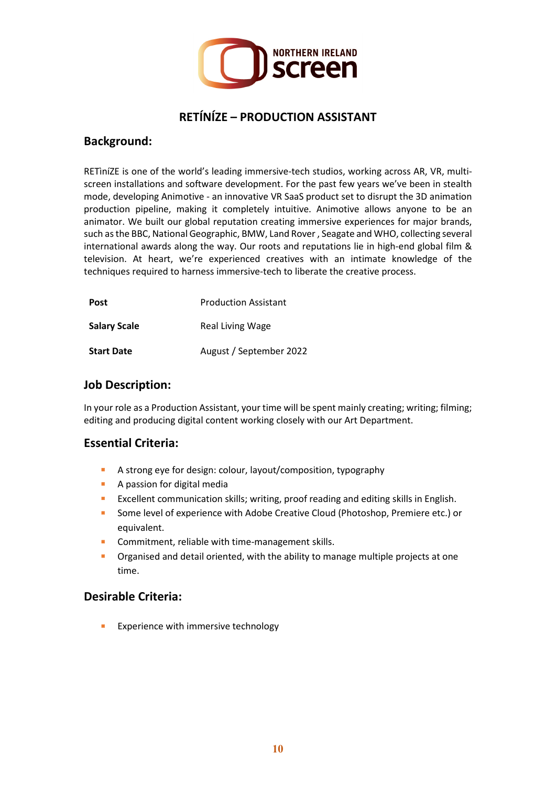

# **RETÍNÍZE – PRODUCTION ASSISTANT**

#### **Background:**

RETìníZE is one of the world's leading immersive-tech studios, working across AR, VR, multiscreen installations and software development. For the past few years we've been in stealth mode, developing Animotive - an innovative VR SaaS product set to disrupt the 3D animation production pipeline, making it completely intuitive. Animotive allows anyone to be an animator. We built our global reputation creating immersive experiences for major brands, such as the BBC, National Geographic, BMW, Land Rover , Seagate and WHO, collecting several international awards along the way. Our roots and reputations lie in high-end global film & television. At heart, we're experienced creatives with an intimate knowledge of the techniques required to harness immersive-tech to liberate the creative process.

| <b>Post</b>         | <b>Production Assistant</b> |
|---------------------|-----------------------------|
| <b>Salary Scale</b> | Real Living Wage            |
| <b>Start Date</b>   | August / September 2022     |

#### **Job Description:**

In your role as a Production Assistant, your time will be spent mainly creating; writing; filming; editing and producing digital content working closely with our Art Department.

#### **Essential Criteria:**

- A strong eye for design: colour, layout/composition, typography
- **A passion for digital media**
- **EXELUANG EXCELLENT COMMUNICATION SKILLS; writing, proof reading and editing skills in English.**
- **Some level of experience with Adobe Creative Cloud (Photoshop, Premiere etc.) or** equivalent.
- **Commitment, reliable with time-management skills.**
- **•** Organised and detail oriented, with the ability to manage multiple projects at one time.

#### **Desirable Criteria:**

Experience with immersive technology